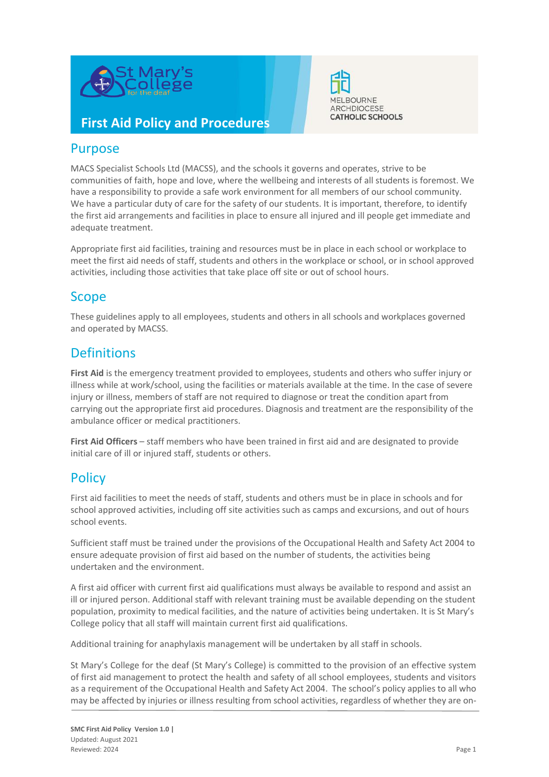



## **First Aid Policy and Procedures**

## Purpose

MACS Specialist Schools Ltd (MACSS), and the schools it governs and operates, strive to be communities of faith, hope and love, where the wellbeing and interests of all students is foremost. We have a responsibility to provide a safe work environment for all members of our school community. We have a particular duty of care for the safety of our students. It is important, therefore, to identify the first aid arrangements and facilities in place to ensure all injured and ill people get immediate and adequate treatment.

Appropriate first aid facilities, training and resources must be in place in each school or workplace to meet the first aid needs of staff, students and others in the workplace or school, or in school approved activities, including those activities that take place off site or out of school hours.

## Scope

These guidelines apply to all employees, students and others in all schools and workplaces governed and operated by MACSS.

## **Definitions**

**First Aid** is the emergency treatment provided to employees, students and others who suffer injury or illness while at work/school, using the facilities or materials available at the time. In the case of severe injury or illness, members of staff are not required to diagnose or treat the condition apart from carrying out the appropriate first aid procedures. Diagnosis and treatment are the responsibility of the ambulance officer or medical practitioners.

**First Aid Officers** – staff members who have been trained in first aid and are designated to provide initial care of ill or injured staff, students or others.

## **Policy**

First aid facilities to meet the needs of staff, students and others must be in place in schools and for school approved activities, including off site activities such as camps and excursions, and out of hours school events.

Sufficient staff must be trained under the provisions of the Occupational Health and Safety Act 2004 to ensure adequate provision of first aid based on the number of students, the activities being undertaken and the environment.

A first aid officer with current first aid qualifications must always be available to respond and assist an ill or injured person. Additional staff with relevant training must be available depending on the student population, proximity to medical facilities, and the nature of activities being undertaken. It is St Mary's College policy that all staff will maintain current first aid qualifications.

Additional training for anaphylaxis management will be undertaken by all staff in schools.

St Mary's College for the deaf (St Mary's College) is committed to the provision of an effective system of first aid management to protect the health and safety of all school employees, students and visitors as a requirement of the Occupational Health and Safety Act 2004. The school's policy applies to all who may be affected by injuries or illness resulting from school activities, regardless of whether they are on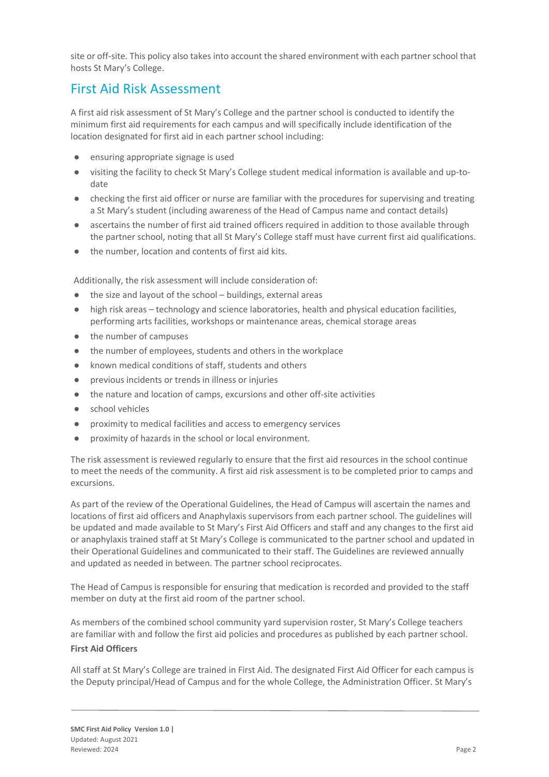site or off-site. This policy also takes into account the shared environment with each partner school that hosts St Mary's College.

## First Aid Risk Assessment

A first aid risk assessment of St Mary's College and the partner school is conducted to identify the minimum first aid requirements for each campus and will specifically include identification of the location designated for first aid in each partner school including:

- ensuring appropriate signage is used
- visiting the facility to check St Mary's College student medical information is available and up-todate
- checking the first aid officer or nurse are familiar with the procedures for supervising and treating a St Mary's student (including awareness of the Head of Campus name and contact details)
- ascertains the number of first aid trained officers required in addition to those available through the partner school, noting that all St Mary's College staff must have current first aid qualifications.
- the number, location and contents of first aid kits.

Additionally, the risk assessment will include consideration of:

- the size and layout of the school  $-$  buildings, external areas
- high risk areas technology and science laboratories, health and physical education facilities, performing arts facilities, workshops or maintenance areas, chemical storage areas
- the number of campuses
- the number of employees, students and others in the workplace
- known medical conditions of staff, students and others
- previous incidents or trends in illness or injuries
- the nature and location of camps, excursions and other off-site activities
- school vehicles
- proximity to medical facilities and access to emergency services
- proximity of hazards in the school or local environment.

The risk assessment is reviewed regularly to ensure that the first aid resources in the school continue to meet the needs of the community. A first aid risk assessment is to be completed prior to camps and excursions.

As part of the review of the Operational Guidelines, the Head of Campus will ascertain the names and locations of first aid officers and Anaphylaxis supervisors from each partner school. The guidelines will be updated and made available to St Mary's First Aid Officers and staff and any changes to the first aid or anaphylaxis trained staff at St Mary's College is communicated to the partner school and updated in their Operational Guidelines and communicated to their staff. The Guidelines are reviewed annually and updated as needed in between. The partner school reciprocates.

The Head of Campus is responsible for ensuring that medication is recorded and provided to the staff member on duty at the first aid room of the partner school.

As members of the combined school community yard supervision roster, St Mary's College teachers are familiar with and follow the first aid policies and procedures as published by each partner school. **First Aid Officers**

All staff at St Mary's College are trained in First Aid. The designated First Aid Officer for each campus is the Deputy principal/Head of Campus and for the whole College, the Administration Officer. St Mary's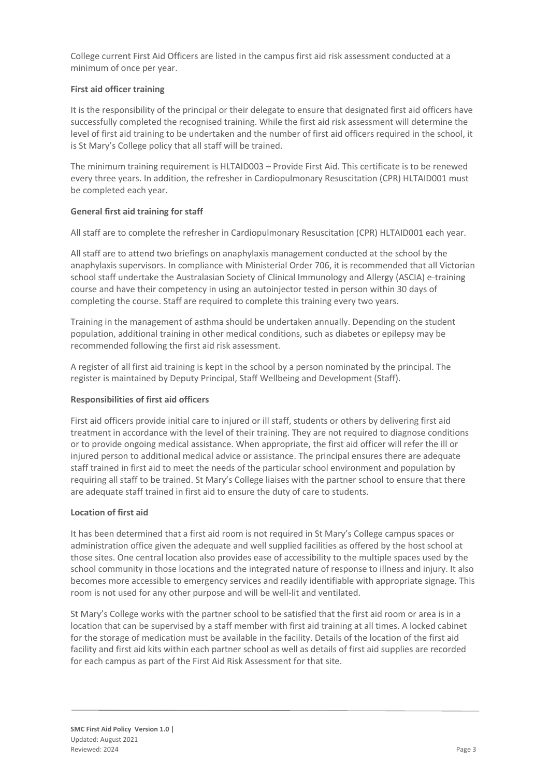College current First Aid Officers are listed in the campus first aid risk assessment conducted at a minimum of once per year.

#### **First aid officer training**

It is the responsibility of the principal or their delegate to ensure that designated first aid officers have successfully completed the recognised training. While the first aid risk assessment will determine the level of first aid training to be undertaken and the number of first aid officers required in the school, it is St Mary's College policy that all staff will be trained.

The minimum training requirement is HLTAID003 – Provide First Aid. This certificate is to be renewed every three years. In addition, the refresher in Cardiopulmonary Resuscitation (CPR) HLTAID001 must be completed each year.

### **General first aid training for staff**

All staff are to complete the refresher in Cardiopulmonary Resuscitation (CPR) HLTAID001 each year.

All staff are to attend two briefings on anaphylaxis management conducted at the school by the anaphylaxis supervisors. In compliance with Ministerial Order 706, it is recommended that all Victorian school staff undertake the Australasian Society of Clinical Immunology and Allergy (ASCIA) e-training course and have their competency in using an autoinjector tested in person within 30 days of completing the course. Staff are required to complete this training every two years.

Training in the management of asthma should be undertaken annually. Depending on the student population, additional training in other medical conditions, such as diabetes or epilepsy may be recommended following the first aid risk assessment.

A register of all first aid training is kept in the school by a person nominated by the principal. The register is maintained by Deputy Principal, Staff Wellbeing and Development (Staff).

#### **Responsibilities of first aid officers**

First aid officers provide initial care to injured or ill staff, students or others by delivering first aid treatment in accordance with the level of their training. They are not required to diagnose conditions or to provide ongoing medical assistance. When appropriate, the first aid officer will refer the ill or injured person to additional medical advice or assistance. The principal ensures there are adequate staff trained in first aid to meet the needs of the particular school environment and population by requiring all staff to be trained. St Mary's College liaises with the partner school to ensure that there are adequate staff trained in first aid to ensure the duty of care to students.

#### **Location of first aid**

It has been determined that a first aid room is not required in St Mary's College campus spaces or administration office given the adequate and well supplied facilities as offered by the host school at those sites. One central location also provides ease of accessibility to the multiple spaces used by the school community in those locations and the integrated nature of response to illness and injury. It also becomes more accessible to emergency services and readily identifiable with appropriate signage. This room is not used for any other purpose and will be well-lit and ventilated.

St Mary's College works with the partner school to be satisfied that the first aid room or area is in a location that can be supervised by a staff member with first aid training at all times. A locked cabinet for the storage of medication must be available in the facility. Details of the location of the first aid facility and first aid kits within each partner school as well as details of first aid supplies are recorded for each campus as part of the First Aid Risk Assessment for that site.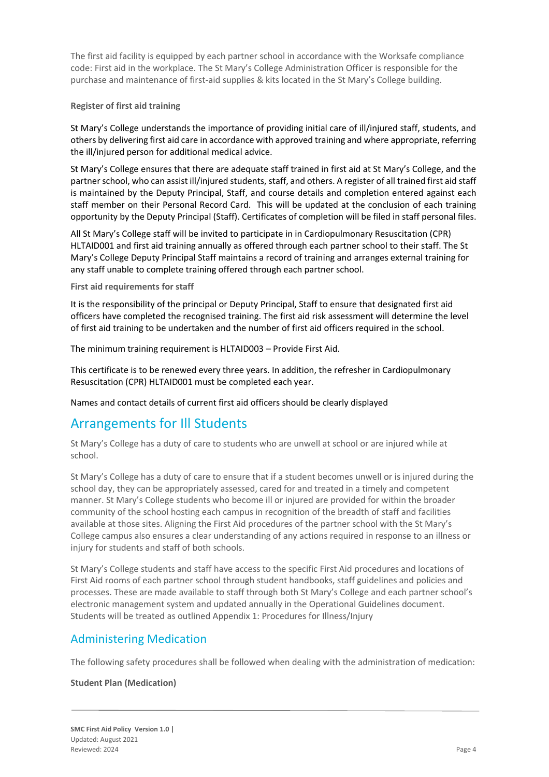The first aid facility is equipped by each partner school in accordance with the Worksafe compliance code: First aid in the workplace. The St Mary's College Administration Officer is responsible for the purchase and maintenance of first-aid supplies & kits located in the St Mary's College building.

#### **Register of first aid training**

St Mary's College understands the importance of providing initial care of ill/injured staff, students, and others by delivering first aid care in accordance with approved training and where appropriate, referring the ill/injured person for additional medical advice.

St Mary's College ensures that there are adequate staff trained in first aid at St Mary's College, and the partner school, who can assist ill/injured students, staff, and others. A register of all trained first aid staff is maintained by the Deputy Principal, Staff, and course details and completion entered against each staff member on their Personal Record Card. This will be updated at the conclusion of each training opportunity by the Deputy Principal (Staff). Certificates of completion will be filed in staff personal files.

All St Mary's College staff will be invited to participate in in Cardiopulmonary Resuscitation (CPR) HLTAID001 and first aid training annually as offered through each partner school to their staff. The St Mary's College Deputy Principal Staff maintains a record of training and arranges external training for any staff unable to complete training offered through each partner school.

**First aid requirements for staff**

It is the responsibility of the principal or Deputy Principal, Staff to ensure that designated first aid officers have completed the recognised training. The first aid risk assessment will determine the level of first aid training to be undertaken and the number of first aid officers required in the school.

The minimum training requirement is HLTAID003 – Provide First Aid.

This certificate is to be renewed every three years. In addition, the refresher in Cardiopulmonary Resuscitation (CPR) HLTAID001 must be completed each year.

Names and contact details of current first aid officers should be clearly displayed.

### Arrangements for Ill Students

St Mary's College has a duty of care to students who are unwell at school or are injured while at school.

St Mary's College has a duty of care to ensure that if a student becomes unwell or is injured during the school day, they can be appropriately assessed, cared for and treated in a timely and competent manner. St Mary's College students who become ill or injured are provided for within the broader community of the school hosting each campus in recognition of the breadth of staff and facilities available at those sites. Aligning the First Aid procedures of the partner school with the St Mary's College campus also ensures a clear understanding of any actions required in response to an illness or injury for students and staff of both schools.

St Mary's College students and staff have access to the specific First Aid procedures and locations of First Aid rooms of each partner school through student handbooks, staff guidelines and policies and processes. These are made available to staff through both St Mary's College and each partner school's electronic management system and updated annually in the Operational Guidelines document. Students will be treated as outlined Appendix 1: Procedures for Illness/Injury

### Administering Medication

The following safety procedures shall be followed when dealing with the administration of medication:

#### **Student Plan (Medication)**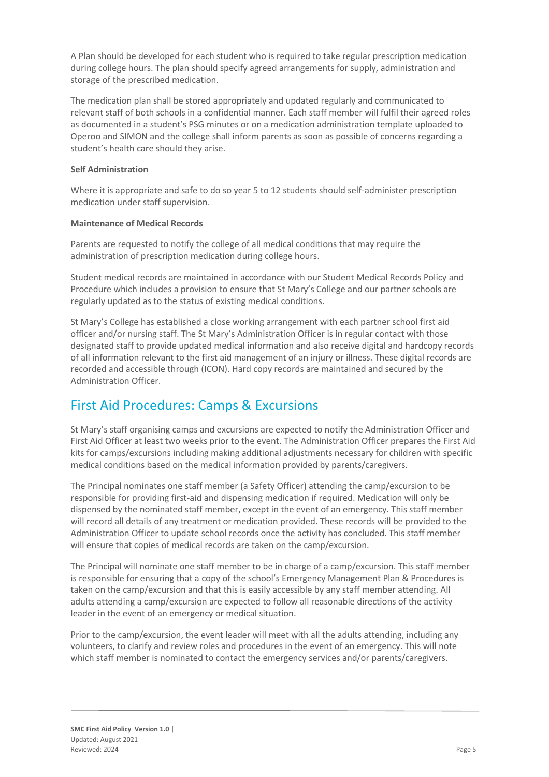A Plan should be developed for each student who is required to take regular prescription medication during college hours. The plan should specify agreed arrangements for supply, administration and storage of the prescribed medication.

The medication plan shall be stored appropriately and updated regularly and communicated to relevant staff of both schools in a confidential manner. Each staff member will fulfil their agreed roles as documented in a student's PSG minutes or on a medication administration template uploaded to Operoo and SIMON and the college shall inform parents as soon as possible of concerns regarding a student's health care should they arise.

#### **Self Administration**

Where it is appropriate and safe to do so year 5 to 12 students should self-administer prescription medication under staff supervision.

### **Maintenance of Medical Records**

Parents are requested to notify the college of all medical conditions that may require the administration of prescription medication during college hours.

Student medical records are maintained in accordance with our Student Medical Records Policy and Procedure which includes a provision to ensure that St Mary's College and our partner schools are regularly updated as to the status of existing medical conditions.

St Mary's College has established a close working arrangement with each partner school first aid officer and/or nursing staff. The St Mary's Administration Officer is in regular contact with those designated staff to provide updated medical information and also receive digital and hardcopy records of all information relevant to the first aid management of an injury or illness. These digital records are recorded and accessible through (ICON). Hard copy records are maintained and secured by the Administration Officer.

## First Aid Procedures: Camps & Excursions

St Mary's staff organising camps and excursions are expected to notify the Administration Officer and First Aid Officer at least two weeks prior to the event. The Administration Officer prepares the First Aid kits for camps/excursions including making additional adjustments necessary for children with specific medical conditions based on the medical information provided by parents/caregivers.

The Principal nominates one staff member (a Safety Officer) attending the camp/excursion to be responsible for providing first-aid and dispensing medication if required. Medication will only be dispensed by the nominated staff member, except in the event of an emergency. This staff member will record all details of any treatment or medication provided. These records will be provided to the Administration Officer to update school records once the activity has concluded. This staff member will ensure that copies of medical records are taken on the camp/excursion.

The Principal will nominate one staff member to be in charge of a camp/excursion. This staff member is responsible for ensuring that a copy of the school's Emergency Management Plan & Procedures is taken on the camp/excursion and that this is easily accessible by any staff member attending. All adults attending a camp/excursion are expected to follow all reasonable directions of the activity leader in the event of an emergency or medical situation.

Prior to the camp/excursion, the event leader will meet with all the adults attending, including any volunteers, to clarify and review roles and procedures in the event of an emergency. This will note which staff member is nominated to contact the emergency services and/or parents/caregivers.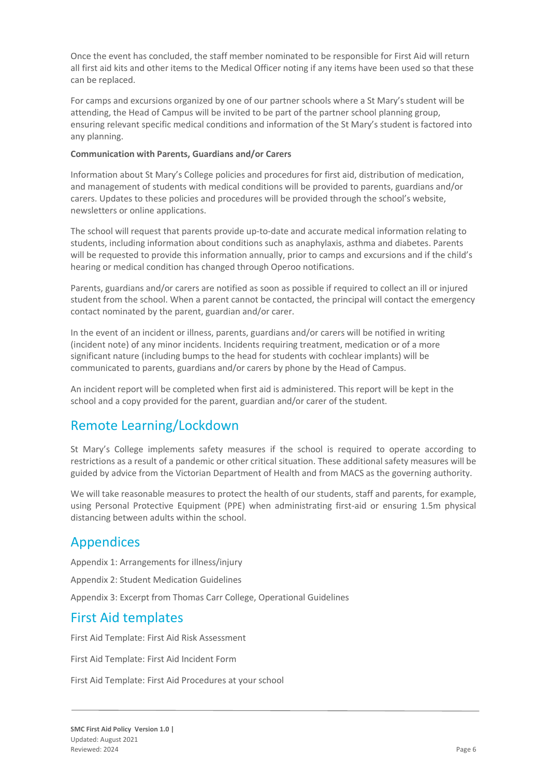Once the event has concluded, the staff member nominated to be responsible for First Aid will return all first aid kits and other items to the Medical Officer noting if any items have been used so that these can be replaced.

For camps and excursions organized by one of our partner schools where a St Mary's student will be attending, the Head of Campus will be invited to be part of the partner school planning group, ensuring relevant specific medical conditions and information of the St Mary's student is factored into any planning.

#### **Communication with Parents, Guardians and/or Carers**

Information about St Mary's College policies and procedures for first aid, distribution of medication, and management of students with medical conditions will be provided to parents, guardians and/or carers. Updates to these policies and procedures will be provided through the school's website, newsletters or online applications.

The school will request that parents provide up-to-date and accurate medical information relating to students, including information about conditions such as anaphylaxis, asthma and diabetes. Parents will be requested to provide this information annually, prior to camps and excursions and if the child's hearing or medical condition has changed through Operoo notifications.

Parents, guardians and/or carers are notified as soon as possible if required to collect an ill or injured student from the school. When a parent cannot be contacted, the principal will contact the emergency contact nominated by the parent, guardian and/or carer.

In the event of an incident or illness, parents, guardians and/or carers will be notified in writing (incident note) of any minor incidents. Incidents requiring treatment, medication or of a more significant nature (including bumps to the head for students with cochlear implants) will be communicated to parents, guardians and/or carers by phone by the Head of Campus.

An incident report will be completed when first aid is administered. This report will be kept in the school and a copy provided for the parent, guardian and/or carer of the student.

## Remote Learning/Lockdown

St Mary's College implements safety measures if the school is required to operate according to restrictions as a result of a pandemic or other critical situation. These additional safety measures will be guided by advice from the Victorian Department of Health and from MACS as the governing authority.

We will take reasonable measures to protect the health of our students, staff and parents, for example, using Personal Protective Equipment (PPE) when administrating first-aid or ensuring 1.5m physical distancing between adults within the school.

## Appendices

Appendix 1: Arrangements for illness/injury

Appendix 2: Student Medication Guidelines

Appendix 3: Excerpt from Thomas Carr College, Operational Guidelines

## First Aid templates

First Aid Template: First Aid Risk Assessment

First Aid Template: First Aid Incident Form

First Aid Template: First Aid Procedures at your school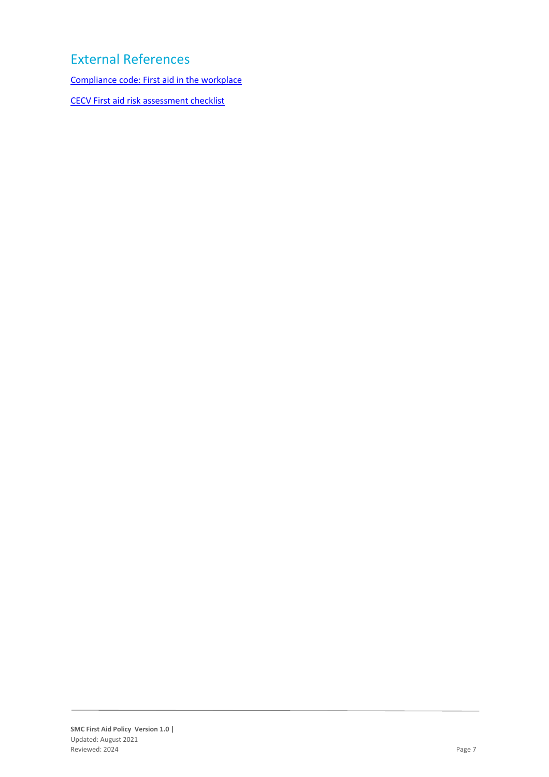# External References

[Compliance code: First aid in the workplace](https://www.worksafe.vic.gov.au/resources/compliance-code-first-aid-workplace)

[CECV First aid risk assessment checklist](https://www.cecv.catholic.edu.au/getmedia/23185752-6eba-4c2e-b14f-eaa78288140f/First-Aid-Risk-Assessment-Checklist.aspx)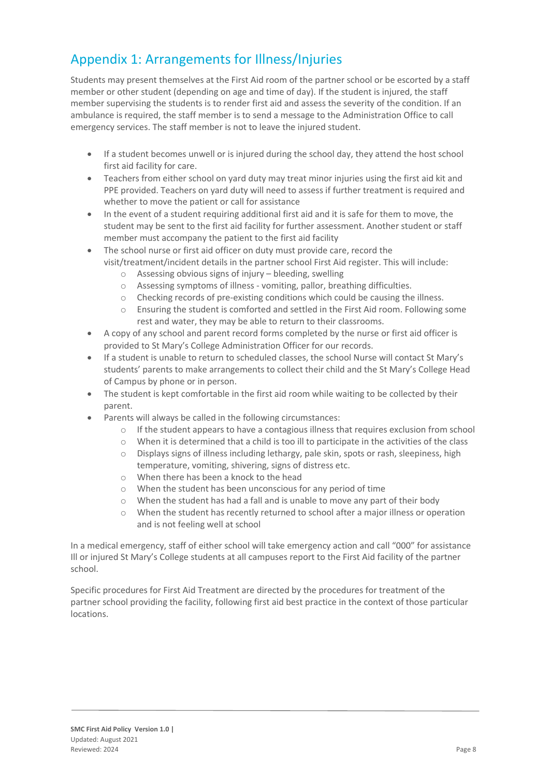## Appendix 1: Arrangements for Illness/Injuries

Students may present themselves at the First Aid room of the partner school or be escorted by a staff member or other student (depending on age and time of day). If the student is injured, the staff member supervising the students is to render first aid and assess the severity of the condition. If an ambulance is required, the staff member is to send a message to the Administration Office to call emergency services. The staff member is not to leave the injured student.

- If a student becomes unwell or is injured during the school day, they attend the host school first aid facility for care.
- Teachers from either school on yard duty may treat minor injuries using the first aid kit and PPE provided. Teachers on yard duty will need to assess if further treatment is required and whether to move the patient or call for assistance
- In the event of a student requiring additional first aid and it is safe for them to move, the student may be sent to the first aid facility for further assessment. Another student or staff member must accompany the patient to the first aid facility
- The school nurse or first aid officer on duty must provide care, record the visit/treatment/incident details in the partner school First Aid register. This will include:
	- o Assessing obvious signs of injury bleeding, swelling
	- o Assessing symptoms of illness vomiting, pallor, breathing difficulties.
	- o Checking records of pre-existing conditions which could be causing the illness.
	- o Ensuring the student is comforted and settled in the First Aid room. Following some rest and water, they may be able to return to their classrooms.
- A copy of any school and parent record forms completed by the nurse or first aid officer is provided to St Mary's College Administration Officer for our records.
- If a student is unable to return to scheduled classes, the school Nurse will contact St Mary's students' parents to make arrangements to collect their child and the St Mary's College Head of Campus by phone or in person.
- The student is kept comfortable in the first aid room while waiting to be collected by their parent.
- Parents will always be called in the following circumstances:
	- $\circ$  If the student appears to have a contagious illness that requires exclusion from school
	- $\circ$  When it is determined that a child is too ill to participate in the activities of the class
	- o Displays signs of illness including lethargy, pale skin, spots or rash, sleepiness, high temperature, vomiting, shivering, signs of distress etc.
	- o When there has been a knock to the head
	- o When the student has been unconscious for any period of time
	- o When the student has had a fall and is unable to move any part of their body
	- $\circ$  When the student has recently returned to school after a major illness or operation and is not feeling well at school

In a medical emergency, staff of either school will take emergency action and call "000" for assistance Ill or injured St Mary's College students at all campuses report to the First Aid facility of the partner school.

Specific procedures for First Aid Treatment are directed by the procedures for treatment of the partner school providing the facility, following first aid best practice in the context of those particular locations.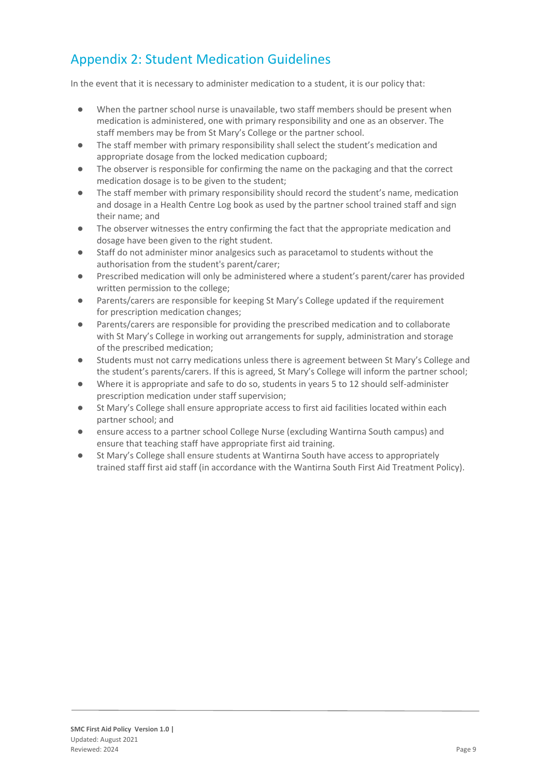# Appendix 2: Student Medication Guidelines

In the event that it is necessary to administer medication to a student, it is our policy that:

- When the partner school nurse is unavailable, two staff members should be present when medication is administered, one with primary responsibility and one as an observer. The staff members may be from St Mary's College or the partner school.
- The staff member with primary responsibility shall select the student's medication and appropriate dosage from the locked medication cupboard;
- The observer is responsible for confirming the name on the packaging and that the correct medication dosage is to be given to the student;
- The staff member with primary responsibility should record the student's name, medication and dosage in a Health Centre Log book as used by the partner school trained staff and sign their name; and
- The observer witnesses the entry confirming the fact that the appropriate medication and dosage have been given to the right student.
- Staff do not administer minor analgesics such as paracetamol to students without the authorisation from the student's parent/carer;
- Prescribed medication will only be administered where a student's parent/carer has provided written permission to the college;
- Parents/carers are responsible for keeping St Mary's College updated if the requirement for prescription medication changes;
- Parents/carers are responsible for providing the prescribed medication and to collaborate with St Mary's College in working out arrangements for supply, administration and storage of the prescribed medication;
- Students must not carry medications unless there is agreement between St Mary's College and the student's parents/carers. If this is agreed, St Mary's College will inform the partner school;
- Where it is appropriate and safe to do so, students in years 5 to 12 should self-administer prescription medication under staff supervision;
- St Mary's College shall ensure appropriate access to first aid facilities located within each partner school; and
- ensure access to a partner school College Nurse (excluding Wantirna South campus) and ensure that teaching staff have appropriate first aid training.
- St Mary's College shall ensure students at Wantirna South have access to appropriately trained staff first aid staff (in accordance with the Wantirna South First Aid Treatment Policy).